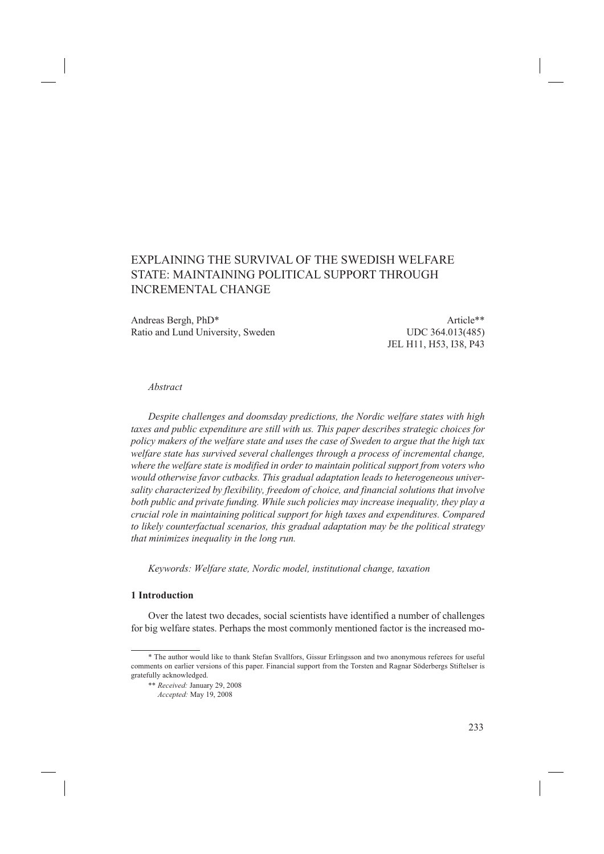# EXPLAINING THE SURVIVAL OF THE SWEDISH WELFARE STATE: MAINTAINING POLITICAL SUPPORT THROUGH INCREMENTAL CHANGE

Andreas Bergh, PhD\* Article\*\* Ratio and Lund University, Sweden UDC 364.013(485)

JEL H11, H53, I38, P43

## *Abstract*

*Despite challenges and doomsday predictions, the Nordic welfare states with high taxes and public expenditure are still with us. This paper describes strategic choices for policy makers of the welfare state and uses the case of Sweden to argue that the high tax welfare state has survived several challenges through a process of incremental change, where the welfare state is modified in order to maintain political support from voters who would otherwise favor cutbacks. This gradual adaptation leads to heterogeneous universality characterized by flexibility, freedom of choice, and financial solutions that involve both public and private funding. While such policies may increase inequality, they play a crucial role in maintaining political support for high taxes and expenditures. Compared to likely counterfactual scenarios, this gradual adaptation may be the political strategy that minimizes inequality in the long run.*

*Keywords: Welfare state, Nordic model, institutional change, taxation*

# **1 Introduction**

Over the latest two decades, social scientists have identified a number of challenges for big welfare states. Perhaps the most commonly mentioned factor is the increased mo-

<sup>\*</sup> The author would like to thank Stefan Svallfors, Gissur Erlingsson and two anonymous referees for useful comments on earlier versions of this paper. Financial support from the Torsten and Ragnar Söderbergs Stiftelser is gratefully acknowledged.

<sup>\*\*</sup> *Received:* January 29, 2008

*Accepted:* May 19, 2008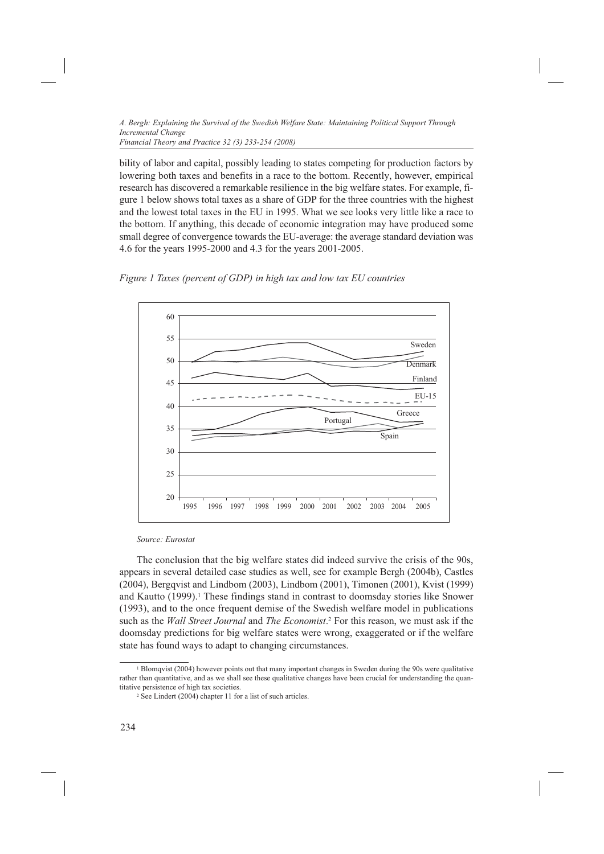bility of labor and capital, possibly leading to states competing for production factors by lowering both taxes and benefits in a race to the bottom. Recently, however, empirical research has discovered a remarkable resilience in the big welfare states. For example, figure 1 below shows total taxes as a share of GDP for the three countries with the highest and the lowest total taxes in the EU in 1995. What we see looks very little like a race to the bottom. If anything, this decade of economic integration may have produced some

small degree of convergence towards the EU-average: the average standard deviation was



4.6 for the years 1995-2000 and 4.3 for the years 2001-2005.



#### *Source: Eurostat*

The conclusion that the big welfare states did indeed survive the crisis of the 90s, appears in several detailed case studies as well, see for example Bergh (2004b), Castles (2004), Bergqvist and Lindbom (2003), Lindbom (2001), Timonen (2001), Kvist (1999) and Kautto (1999).<sup>1</sup> These findings stand in contrast to doomsday stories like Snower (1993), and to the once frequent demise of the Swedish welfare model in publications such as the *Wall Street Journal* and *The Economist*. 2 For this reason, we must ask if the doomsday predictions for big welfare states were wrong, exaggerated or if the welfare state has found ways to adapt to changing circumstances.

<sup>1</sup> Blomqvist (2004) however points out that many important changes in Sweden during the 90s were qualitative rather than quantitative, and as we shall see these qualitative changes have been crucial for understanding the quantitative persistence of high tax societies.

<sup>2</sup> See Lindert (2004) chapter 11 for a list of such articles.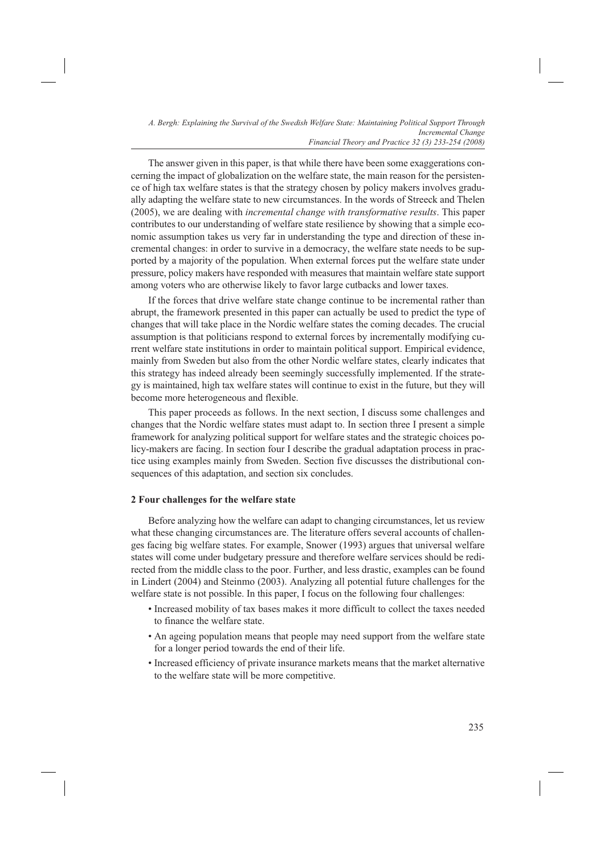The answer given in this paper, is that while there have been some exaggerations concerning the impact of globalization on the welfare state, the main reason for the persistence of high tax welfare states is that the strategy chosen by policy makers involves gradually adapting the welfare state to new circumstances. In the words of Streeck and Thelen (2005), we are dealing with *incremental change with transformative results*. This paper contributes to our understanding of welfare state resilience by showing that a simple economic assumption takes us very far in understanding the type and direction of these incremental changes: in order to survive in a democracy, the welfare state needs to be supported by a majority of the population. When external forces put the welfare state under pressure, policy makers have responded with measures that maintain welfare state support among voters who are otherwise likely to favor large cutbacks and lower taxes.

If the forces that drive welfare state change continue to be incremental rather than abrupt, the framework presented in this paper can actually be used to predict the type of changes that will take place in the Nordic welfare states the coming decades. The crucial assumption is that politicians respond to external forces by incrementally modifying current welfare state institutions in order to maintain political support. Empirical evidence, mainly from Sweden but also from the other Nordic welfare states, clearly indicates that this strategy has indeed already been seemingly successfully implemented. If the strategy is maintained, high tax welfare states will continue to exist in the future, but they will become more heterogeneous and flexible.

This paper proceeds as follows. In the next section, I discuss some challenges and changes that the Nordic welfare states must adapt to. In section three I present a simple framework for analyzing political support for welfare states and the strategic choices policy-makers are facing. In section four I describe the gradual adaptation process in practice using examples mainly from Sweden. Section five discusses the distributional consequences of this adaptation, and section six concludes.

#### **2 Four challenges for the welfare state**

Before analyzing how the welfare can adapt to changing circumstances, let us review what these changing circumstances are. The literature offers several accounts of challenges facing big welfare states. For example, Snower (1993) argues that universal welfare states will come under budgetary pressure and therefore welfare services should be redirected from the middle class to the poor. Further, and less drastic, examples can be found in Lindert (2004) and Steinmo (2003). Analyzing all potential future challenges for the welfare state is not possible. In this paper, I focus on the following four challenges:

- Increased mobility of tax bases makes it more difficult to collect the taxes needed to finance the welfare state.
- An ageing population means that people may need support from the welfare state for a longer period towards the end of their life.
- Increased efficiency of private insurance markets means that the market alternative to the welfare state will be more competitive.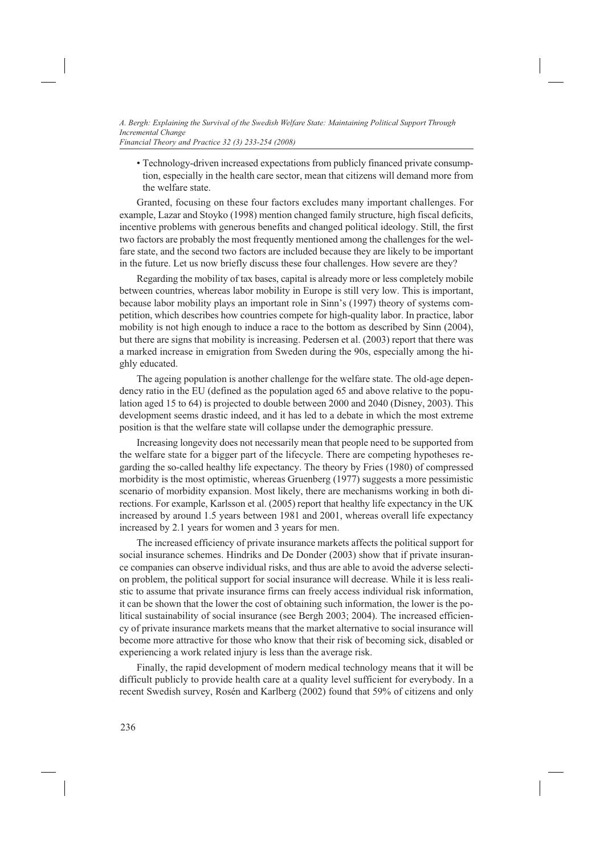• Technology-driven increased expectations from publicly financed private consump-

tion, especially in the health care sector, mean that citizens will demand more from the welfare state.

Granted, focusing on these four factors excludes many important challenges. For example, Lazar and Stoyko (1998) mention changed family structure, high fiscal deficits, incentive problems with generous benefits and changed political ideology. Still, the first two factors are probably the most frequently mentioned among the challenges for the welfare state, and the second two factors are included because they are likely to be important in the future. Let us now briefly discuss these four challenges. How severe are they?

Regarding the mobility of tax bases, capital is already more or less completely mobile between countries, whereas labor mobility in Europe is still very low. This is important, because labor mobility plays an important role in Sinn's (1997) theory of systems competition, which describes how countries compete for high-quality labor. In practice, labor mobility is not high enough to induce a race to the bottom as described by Sinn (2004), but there are signs that mobility is increasing. Pedersen et al. (2003) report that there was a marked increase in emigration from Sweden during the 90s, especially among the highly educated.

The ageing population is another challenge for the welfare state. The old-age dependency ratio in the EU (defined as the population aged 65 and above relative to the population aged 15 to 64) is projected to double between 2000 and 2040 (Disney, 2003). This development seems drastic indeed, and it has led to a debate in which the most extreme position is that the welfare state will collapse under the demographic pressure.

Increasing longevity does not necessarily mean that people need to be supported from the welfare state for a bigger part of the lifecycle. There are competing hypotheses regarding the so-called healthy life expectancy. The theory by Fries (1980) of compressed morbidity is the most optimistic, whereas Gruenberg (1977) suggests a more pessimistic scenario of morbidity expansion. Most likely, there are mechanisms working in both directions. For example, Karlsson et al. (2005) report that healthy life expectancy in the UK increased by around 1.5 years between 1981 and 2001, whereas overall life expectancy increased by 2.1 years for women and 3 years for men.

The increased efficiency of private insurance markets affects the political support for social insurance schemes. Hindriks and De Donder (2003) show that if private insurance companies can observe individual risks, and thus are able to avoid the adverse selection problem, the political support for social insurance will decrease. While it is less realistic to assume that private insurance firms can freely access individual risk information, it can be shown that the lower the cost of obtaining such information, the lower is the political sustainability of social insurance (see Bergh 2003; 2004). The increased efficiency of private insurance markets means that the market alternative to social insurance will become more attractive for those who know that their risk of becoming sick, disabled or experiencing a work related injury is less than the average risk.

Finally, the rapid development of modern medical technology means that it will be difficult publicly to provide health care at a quality level sufficient for everybody. In a recent Swedish survey, Rosén and Karlberg (2002) found that 59% of citizens and only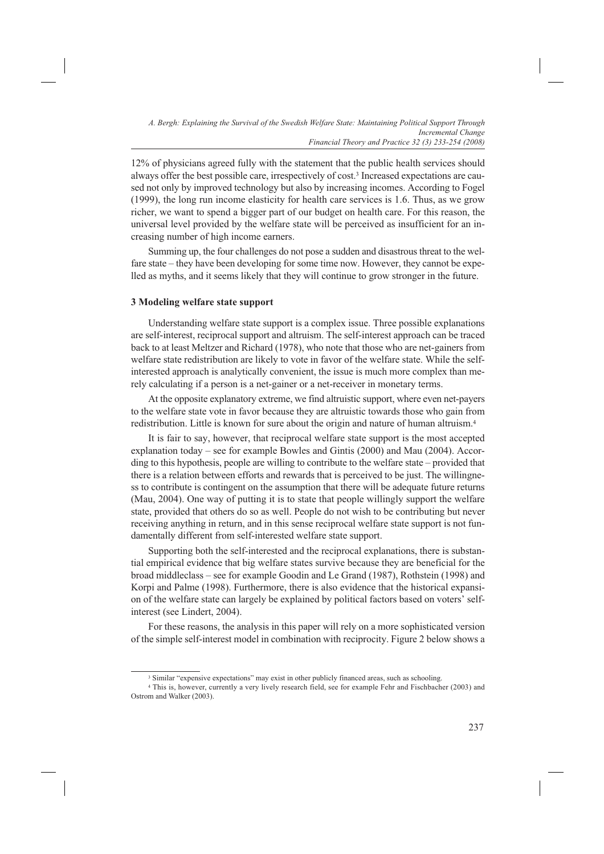12% of physicians agreed fully with the statement that the public health services should always offer the best possible care, irrespectively of cost.3 Increased expectations are caused not only by improved technology but also by increasing incomes. According to Fogel (1999), the long run income elasticity for health care services is 1.6. Thus, as we grow richer, we want to spend a bigger part of our budget on health care. For this reason, the universal level provided by the welfare state will be perceived as insufficient for an increasing number of high income earners.

Summing up, the four challenges do not pose a sudden and disastrous threat to the welfare state – they have been developing for some time now. However, they cannot be expelled as myths, and it seems likely that they will continue to grow stronger in the future.

#### **3 Modeling welfare state support**

Understanding welfare state support is a complex issue. Three possible explanations are self-interest, reciprocal support and altruism. The self-interest approach can be traced back to at least Meltzer and Richard (1978), who note that those who are net-gainers from welfare state redistribution are likely to vote in favor of the welfare state. While the selfinterested approach is analytically convenient, the issue is much more complex than merely calculating if a person is a net-gainer or a net-receiver in monetary terms.

At the opposite explanatory extreme, we find altruistic support, where even net-payers to the welfare state vote in favor because they are altruistic towards those who gain from redistribution. Little is known for sure about the origin and nature of human altruism.4

It is fair to say, however, that reciprocal welfare state support is the most accepted explanation today – see for example Bowles and Gintis (2000) and Mau (2004). According to this hypothesis, people are willing to contribute to the welfare state – provided that there is a relation between efforts and rewards that is perceived to be just. The willingness to contribute is contingent on the assumption that there will be adequate future returns (Mau, 2004). One way of putting it is to state that people willingly support the welfare state, provided that others do so as well. People do not wish to be contributing but never receiving anything in return, and in this sense reciprocal welfare state support is not fundamentally different from self-interested welfare state support.

Supporting both the self-interested and the reciprocal explanations, there is substantial empirical evidence that big welfare states survive because they are beneficial for the broad middleclass – see for example Goodin and Le Grand (1987), Rothstein (1998) and Korpi and Palme (1998). Furthermore, there is also evidence that the historical expansion of the welfare state can largely be explained by political factors based on voters' selfinterest (see Lindert, 2004).

For these reasons, the analysis in this paper will rely on a more sophisticated version of the simple self-interest model in combination with reciprocity. Figure 2 below shows a

<sup>&</sup>lt;sup>3</sup> Similar "expensive expectations" may exist in other publicly financed areas, such as schooling.

<sup>4</sup> This is, however, currently a very lively research field, see for example Fehr and Fischbacher (2003) and Ostrom and Walker (2003).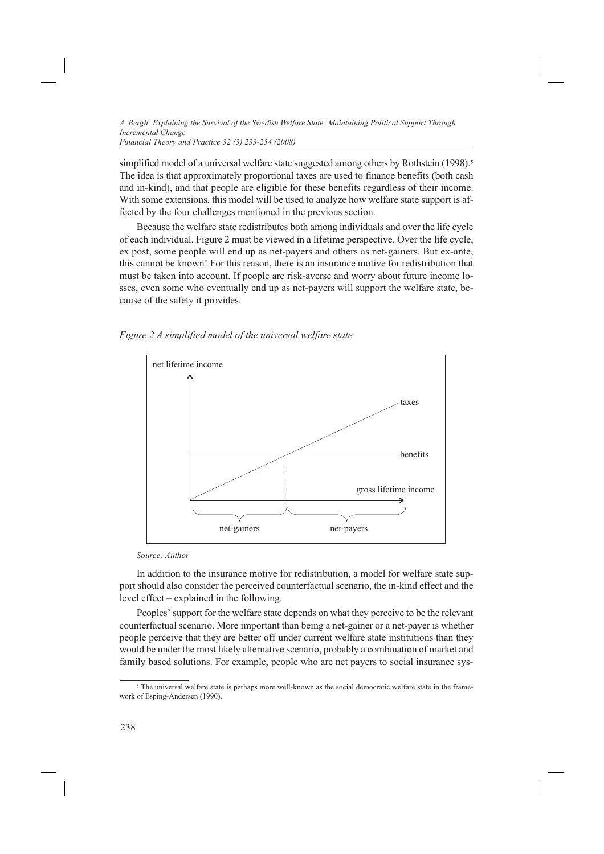*Financial Theory and Practice 32 (3) 233-254 (2008)*

simplified model of a universal welfare state suggested among others by Rothstein (1998).<sup>5</sup> The idea is that approximately proportional taxes are used to finance benefits (both cash and in-kind), and that people are eligible for these benefits regardless of their income. With some extensions, this model will be used to analyze how welfare state support is affected by the four challenges mentioned in the previous section.

Because the welfare state redistributes both among individuals and over the life cycle of each individual, Figure 2 must be viewed in a lifetime perspective. Over the life cycle, ex post, some people will end up as net-payers and others as net-gainers. But ex-ante, this cannot be known! For this reason, there is an insurance motive for redistribution that must be taken into account. If people are risk-averse and worry about future income losses, even some who eventually end up as net-payers will support the welfare state, because of the safety it provides.

*Figure 2 A simplified model of the universal welfare state*



*Source: Author*

In addition to the insurance motive for redistribution, a model for welfare state support should also consider the perceived counterfactual scenario, the in-kind effect and the level effect – explained in the following.

Peoples' support for the welfare state depends on what they perceive to be the relevant counterfactual scenario. More important than being a net-gainer or a net-payer is whether people perceive that they are better off under current welfare state institutions than they would be under the most likely alternative scenario, probably a combination of market and family based solutions. For example, people who are net payers to social insurance sys-

<sup>5</sup> The universal welfare state is perhaps more well-known as the social democratic welfare state in the framework of Esping-Andersen (1990).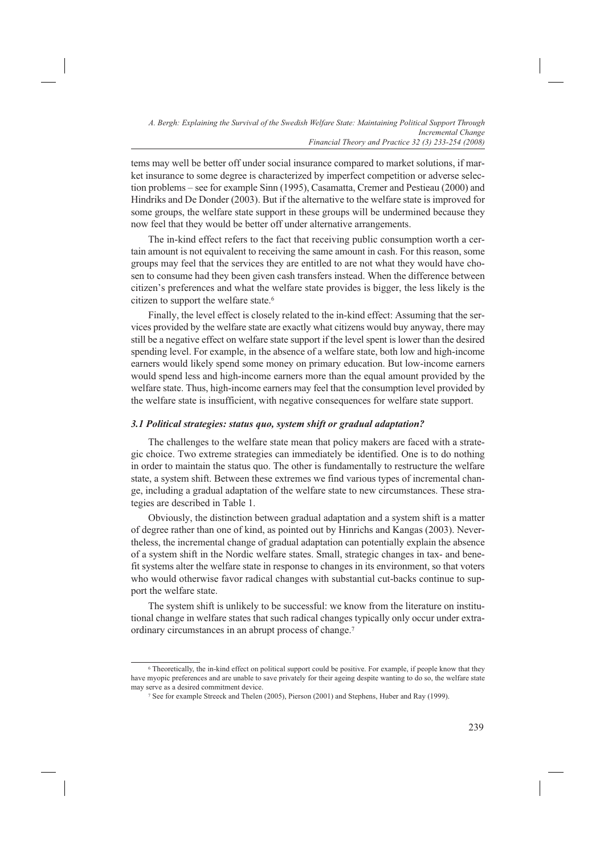tems may well be better off under social insurance compared to market solutions, if market insurance to some degree is characterized by imperfect competition or adverse selection problems – see for example Sinn (1995), Casamatta, Cremer and Pestieau (2000) and Hindriks and De Donder (2003). But if the alternative to the welfare state is improved for some groups, the welfare state support in these groups will be undermined because they now feel that they would be better off under alternative arrangements.

The in-kind effect refers to the fact that receiving public consumption worth a certain amount is not equivalent to receiving the same amount in cash. For this reason, some groups may feel that the services they are entitled to are not what they would have chosen to consume had they been given cash transfers instead. When the difference between citizen's preferences and what the welfare state provides is bigger, the less likely is the citizen to support the welfare state.6

Finally, the level effect is closely related to the in-kind effect: Assuming that the services provided by the welfare state are exactly what citizens would buy anyway, there may still be a negative effect on welfare state support if the level spent is lower than the desired spending level. For example, in the absence of a welfare state, both low and high-income earners would likely spend some money on primary education. But low-income earners would spend less and high-income earners more than the equal amount provided by the welfare state. Thus, high-income earners may feel that the consumption level provided by the welfare state is insufficient, with negative consequences for welfare state support.

## *3.1 Political strategies: status quo, system shift or gradual adaptation?*

The challenges to the welfare state mean that policy makers are faced with a strategic choice. Two extreme strategies can immediately be identified. One is to do nothing in order to maintain the status quo. The other is fundamentally to restructure the welfare state, a system shift. Between these extremes we find various types of incremental change, including a gradual adaptation of the welfare state to new circumstances. These strategies are described in Table 1.

Obviously, the distinction between gradual adaptation and a system shift is a matter of degree rather than one of kind, as pointed out by Hinrichs and Kangas (2003). Nevertheless, the incremental change of gradual adaptation can potentially explain the absence of a system shift in the Nordic welfare states. Small, strategic changes in tax- and benefit systems alter the welfare state in response to changes in its environment, so that voters who would otherwise favor radical changes with substantial cut-backs continue to support the welfare state.

The system shift is unlikely to be successful: we know from the literature on institutional change in welfare states that such radical changes typically only occur under extraordinary circumstances in an abrupt process of change.7

<sup>6</sup> Theoretically, the in-kind effect on political support could be positive. For example, if people know that they have myopic preferences and are unable to save privately for their ageing despite wanting to do so, the welfare state may serve as a desired commitment device. 7 See for example Streeck and Thelen (2005), Pierson (2001) and Stephens, Huber and Ray (1999).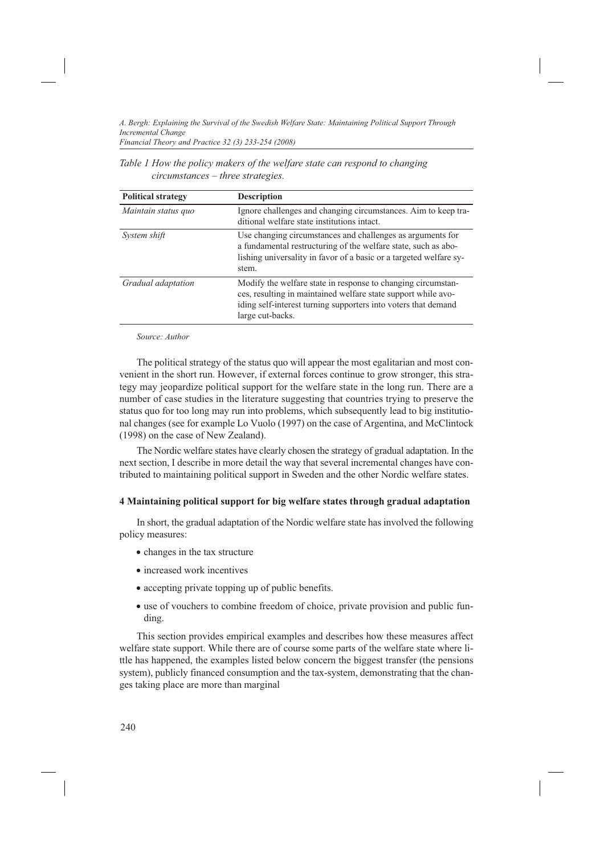*Table 1 How the policy makers of the welfare state can respond to changing circumstances – three strategies.*

| <b>Political strategy</b> | <b>Description</b>                                                                                                                                                                                                  |
|---------------------------|---------------------------------------------------------------------------------------------------------------------------------------------------------------------------------------------------------------------|
| Maintain status quo       | Ignore challenges and changing circumstances. Aim to keep tra-<br>ditional welfare state institutions intact.                                                                                                       |
| System shift              | Use changing circumstances and challenges as arguments for<br>a fundamental restructuring of the welfare state, such as abo-<br>lishing universality in favor of a basic or a targeted welfare sy-<br>stem.         |
| Gradual adaptation        | Modify the welfare state in response to changing circumstan-<br>ces, resulting in maintained welfare state support while avo-<br>iding self-interest turning supporters into voters that demand<br>large cut-backs. |

*Source: Author*

The political strategy of the status quo will appear the most egalitarian and most convenient in the short run. However, if external forces continue to grow stronger, this strategy may jeopardize political support for the welfare state in the long run. There are a number of case studies in the literature suggesting that countries trying to preserve the status quo for too long may run into problems, which subsequently lead to big institutional changes (see for example Lo Vuolo (1997) on the case of Argentina, and McClintock (1998) on the case of New Zealand).

The Nordic welfare states have clearly chosen the strategy of gradual adaptation. In the next section, I describe in more detail the way that several incremental changes have contributed to maintaining political support in Sweden and the other Nordic welfare states.

# **4 Maintaining political support for big welfare states through gradual adaptation**

In short, the gradual adaptation of the Nordic welfare state has involved the following policy measures:

- changes in the tax structure
- · increased work incentives
- · accepting private topping up of public benefits.
- use of vouchers to combine freedom of choice, private provision and public funding.

This section provides empirical examples and describes how these measures affect welfare state support. While there are of course some parts of the welfare state where little has happened, the examples listed below concern the biggest transfer (the pensions system), publicly financed consumption and the tax-system, demonstrating that the changes taking place are more than marginal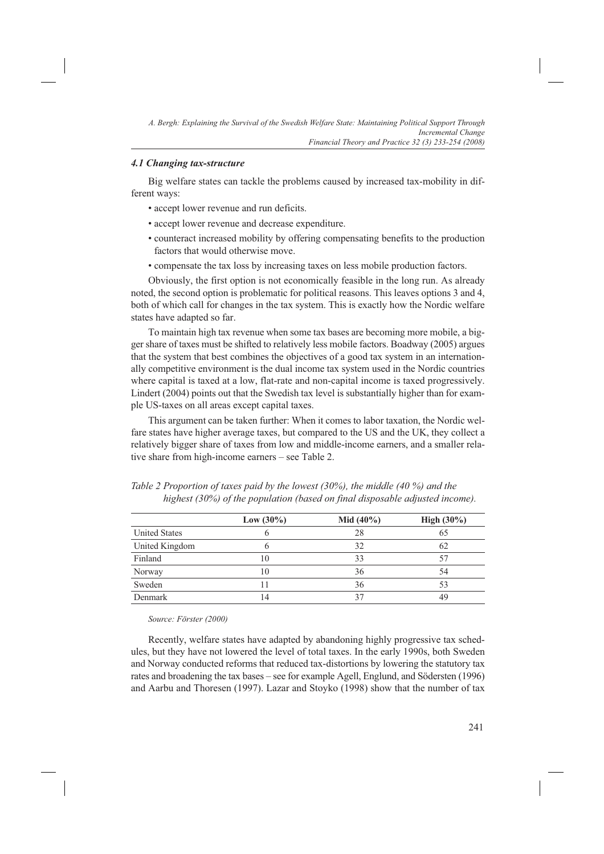#### *4.1 Changing tax-structure*

Big welfare states can tackle the problems caused by increased tax-mobility in different ways:

- accept lower revenue and run deficits.
- accept lower revenue and decrease expenditure.
- counteract increased mobility by offering compensating benefits to the production factors that would otherwise move.
- compensate the tax loss by increasing taxes on less mobile production factors.

Obviously, the first option is not economically feasible in the long run. As already noted, the second option is problematic for political reasons. This leaves options 3 and 4, both of which call for changes in the tax system. This is exactly how the Nordic welfare states have adapted so far.

To maintain high tax revenue when some tax bases are becoming more mobile, a bigger share of taxes must be shifted to relatively less mobile factors. Boadway (2005) argues that the system that best combines the objectives of a good tax system in an internationally competitive environment is the dual income tax system used in the Nordic countries where capital is taxed at a low, flat-rate and non-capital income is taxed progressively. Lindert (2004) points out that the Swedish tax level is substantially higher than for example US-taxes on all areas except capital taxes.

This argument can be taken further: When it comes to labor taxation, the Nordic welfare states have higher average taxes, but compared to the US and the UK, they collect a relatively bigger share of taxes from low and middle-income earners, and a smaller relative share from high-income earners – see Table 2.

|                      | Low $(30\%)$ | <b>Mid</b> $(40\%)$ | <b>High</b> $(30\%)$ |
|----------------------|--------------|---------------------|----------------------|
| <b>United States</b> |              | 28                  | 65                   |
| United Kingdom       | n            | 32                  | 62                   |
| Finland              | 10           | 33                  | 57                   |
| Norway               | 10           | 36                  | 54                   |
| Sweden               | 11           | 36                  | 53                   |
| Denmark              | 14           | 37                  | 49                   |

*Table 2 Proportion of taxes paid by the lowest (30%), the middle (40 %) and the highest (30%) of the population (based on final disposable adjusted income).*

*Source: Förster (2000)*

Recently, welfare states have adapted by abandoning highly progressive tax schedules, but they have not lowered the level of total taxes. In the early 1990s, both Sweden and Norway conducted reforms that reduced tax-distortions by lowering the statutory tax rates and broadening the tax bases – see for example Agell, Englund, and Södersten (1996) and Aarbu and Thoresen (1997). Lazar and Stoyko (1998) show that the number of tax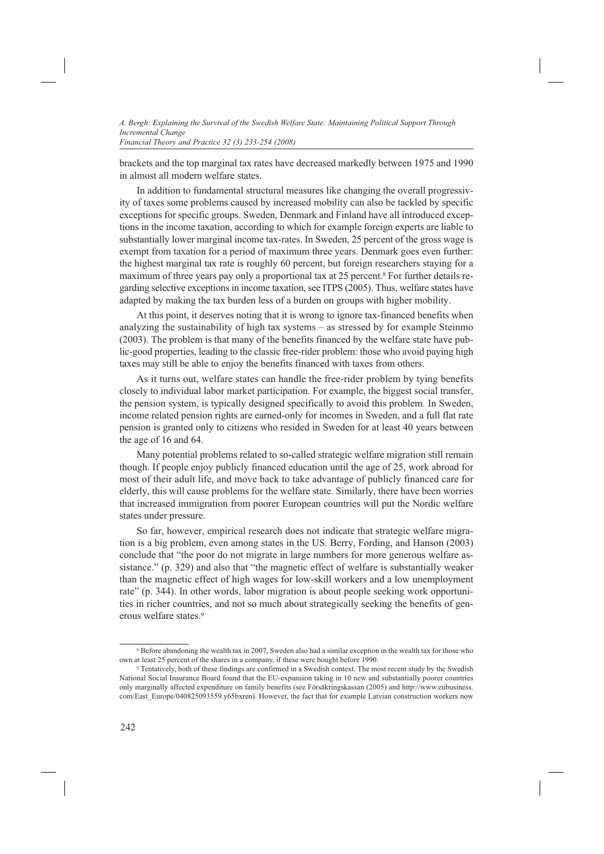*Financial Theory and Practice 32 (3) 233-254 (2008)*

brackets and the top marginal tax rates have decreased markedly between 1975 and 1990 in almost all modern welfare states.

In addition to fundamental structural measures like changing the overall progressivity of taxes some problems caused by increased mobility can also be tackled by specific exceptions for specific groups. Sweden, Denmark and Finland have all introduced exceptions in the income taxation, according to which for example foreign experts are liable to substantially lower marginal income tax-rates. In Sweden, 25 percent of the gross wage is exempt from taxation for a period of maximum three years. Denmark goes even further: the highest marginal tax rate is roughly 60 percent, but foreign researchers staying for a maximum of three years pay only a proportional tax at 25 percent.<sup>8</sup> For further details regarding selective exceptions in income taxation, see ITPS (2005). Thus, welfare states have adapted by making the tax burden less of a burden on groups with higher mobility.

At this point, it deserves noting that it is wrong to ignore tax-financed benefits when analyzing the sustainability of high tax systems – as stressed by for example Steinmo (2003). The problem is that many of the benefits financed by the welfare state have public-good properties, leading to the classic free-rider problem: those who avoid paying high taxes may still be able to enjoy the benefits financed with taxes from others.

As it turns out, welfare states can handle the free-rider problem by tying benefits closely to individual labor market participation. For example, the biggest social transfer, the pension system, is typically designed specifically to avoid this problem. In Sweden, income related pension rights are earned-only for incomes in Sweden, and a full flat rate pension is granted only to citizens who resided in Sweden for at least 40 years between the age of 16 and 64.

Many potential problems related to so-called strategic welfare migration still remain though. If people enjoy publicly financed education until the age of 25, work abroad for most of their adult life, and move back to take advantage of publicly financed care for elderly, this will cause problems for the welfare state. Similarly, there have been worries that increased immigration from poorer European countries will put the Nordic welfare states under pressure.

So far, however, empirical research does not indicate that strategic welfare migration is a big problem, even among states in the US. Berry, Fording, and Hanson (2003) conclude that "the poor do not migrate in large numbers for more generous welfare assistance." (p. 329) and also that "the magnetic effect of welfare is substantially weaker than the magnetic effect of high wages for low-skill workers and a low unemployment rate" (p. 344). In other words, labor migration is about people seeking work opportunities in richer countries, and not so much about strategically seeking the benefits of generous welfare states.9

<sup>8</sup> Before abandoning the wealth tax in 2007, Sweden also had a similar exception in the wealth tax for those who own at least 25 percent of the shares in a company, if these were bought before 1990.

<sup>9</sup> Tentatively, both of these findings are confirmed in a Swedish context. The most recent study by the Swedish National Social Insurance Board found that the EU-expansion taking in 10 new and substantially poorer countries only marginally affected expenditure on family benefits (see Försäkringskassan (2005) and http://www.eubusiness. com/East\_Europe/040825093559.y65bxren). However, the fact that for example Latvian construction workers now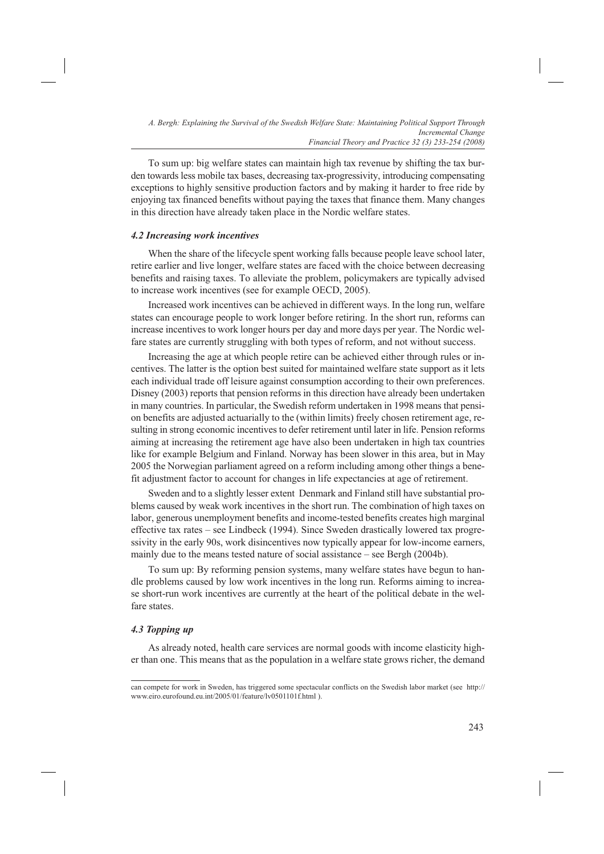To sum up: big welfare states can maintain high tax revenue by shifting the tax burden towards less mobile tax bases, decreasing tax-progressivity, introducing compensating exceptions to highly sensitive production factors and by making it harder to free ride by enjoying tax financed benefits without paying the taxes that finance them. Many changes in this direction have already taken place in the Nordic welfare states.

#### *4.2 Increasing work incentives*

When the share of the lifecycle spent working falls because people leave school later, retire earlier and live longer, welfare states are faced with the choice between decreasing benefits and raising taxes. To alleviate the problem, policymakers are typically advised to increase work incentives (see for example OECD, 2005).

Increased work incentives can be achieved in different ways. In the long run, welfare states can encourage people to work longer before retiring. In the short run, reforms can increase incentives to work longer hours per day and more days per year. The Nordic welfare states are currently struggling with both types of reform, and not without success.

Increasing the age at which people retire can be achieved either through rules or incentives. The latter is the option best suited for maintained welfare state support as it lets each individual trade off leisure against consumption according to their own preferences. Disney (2003) reports that pension reforms in this direction have already been undertaken in many countries. In particular, the Swedish reform undertaken in 1998 means that pension benefits are adjusted actuarially to the (within limits) freely chosen retirement age, resulting in strong economic incentives to defer retirement until later in life. Pension reforms aiming at increasing the retirement age have also been undertaken in high tax countries like for example Belgium and Finland. Norway has been slower in this area, but in May 2005 the Norwegian parliament agreed on a reform including among other things a benefit adjustment factor to account for changes in life expectancies at age of retirement.

Sweden and to a slightly lesser extent Denmark and Finland still have substantial problems caused by weak work incentives in the short run. The combination of high taxes on labor, generous unemployment benefits and income-tested benefits creates high marginal effective tax rates – see Lindbeck (1994). Since Sweden drastically lowered tax progressivity in the early 90s, work disincentives now typically appear for low-income earners, mainly due to the means tested nature of social assistance – see Bergh (2004b).

To sum up: By reforming pension systems, many welfare states have begun to handle problems caused by low work incentives in the long run. Reforms aiming to increase short-run work incentives are currently at the heart of the political debate in the welfare states.

# *4.3 Topping up*

As already noted, health care services are normal goods with income elasticity higher than one. This means that as the population in a welfare state grows richer, the demand

can compete for work in Sweden, has triggered some spectacular conflicts on the Swedish labor market (see http:// www.eiro.eurofound.eu.int/2005/01/feature/lv0501101f.html ).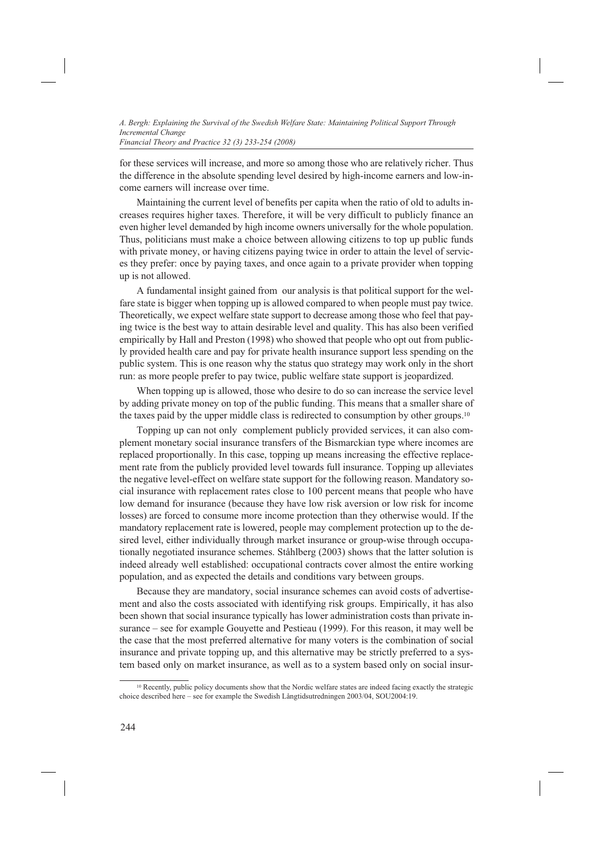*Financial Theory and Practice 32 (3) 233-254 (2008)*

for these services will increase, and more so among those who are relatively richer. Thus the difference in the absolute spending level desired by high-income earners and low-income earners will increase over time.

Maintaining the current level of benefits per capita when the ratio of old to adults increases requires higher taxes. Therefore, it will be very difficult to publicly finance an even higher level demanded by high income owners universally for the whole population. Thus, politicians must make a choice between allowing citizens to top up public funds with private money, or having citizens paying twice in order to attain the level of services they prefer: once by paying taxes, and once again to a private provider when topping up is not allowed.

A fundamental insight gained from our analysis is that political support for the welfare state is bigger when topping up is allowed compared to when people must pay twice. Theoretically, we expect welfare state support to decrease among those who feel that paying twice is the best way to attain desirable level and quality. This has also been verified empirically by Hall and Preston (1998) who showed that people who opt out from publicly provided health care and pay for private health insurance support less spending on the public system. This is one reason why the status quo strategy may work only in the short run: as more people prefer to pay twice, public welfare state support is jeopardized.

When topping up is allowed, those who desire to do so can increase the service level by adding private money on top of the public funding. This means that a smaller share of the taxes paid by the upper middle class is redirected to consumption by other groups.10

Topping up can not only complement publicly provided services, it can also complement monetary social insurance transfers of the Bismarckian type where incomes are replaced proportionally. In this case, topping up means increasing the effective replacement rate from the publicly provided level towards full insurance. Topping up alleviates the negative level-effect on welfare state support for the following reason. Mandatory social insurance with replacement rates close to 100 percent means that people who have low demand for insurance (because they have low risk aversion or low risk for income losses) are forced to consume more income protection than they otherwise would. If the mandatory replacement rate is lowered, people may complement protection up to the desired level, either individually through market insurance or group-wise through occupationally negotiated insurance schemes. Ståhlberg (2003) shows that the latter solution is indeed already well established: occupational contracts cover almost the entire working population, and as expected the details and conditions vary between groups.

Because they are mandatory, social insurance schemes can avoid costs of advertisement and also the costs associated with identifying risk groups. Empirically, it has also been shown that social insurance typically has lower administration costs than private insurance – see for example Gouyette and Pestieau (1999). For this reason, it may well be the case that the most preferred alternative for many voters is the combination of social insurance and private topping up, and this alternative may be strictly preferred to a system based only on market insurance, as well as to a system based only on social insur-

<sup>&</sup>lt;sup>10</sup> Recently, public policy documents show that the Nordic welfare states are indeed facing exactly the strategic choice described here – see for example the Swedish Långtidsutredningen 2003/04, SOU2004:19.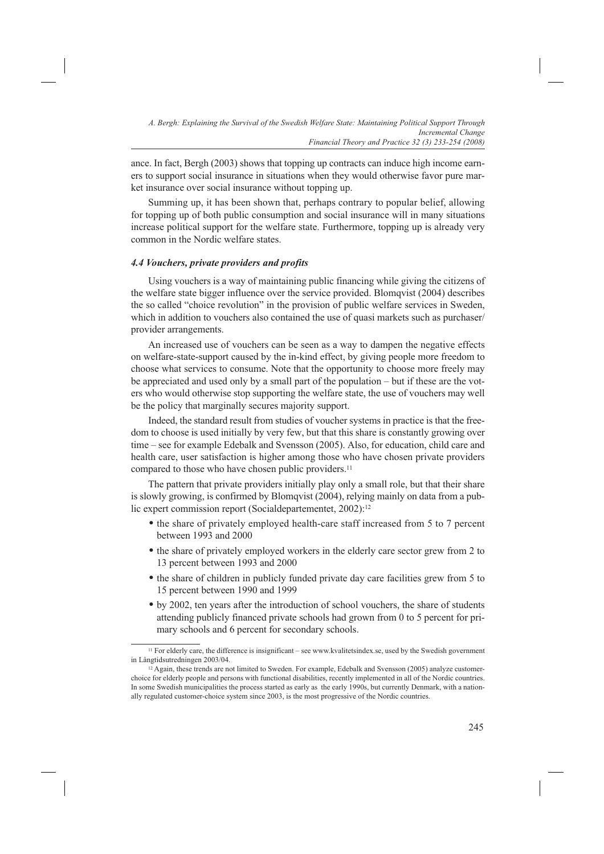ance. In fact, Bergh (2003) shows that topping up contracts can induce high income earners to support social insurance in situations when they would otherwise favor pure market insurance over social insurance without topping up.

Summing up, it has been shown that, perhaps contrary to popular belief, allowing for topping up of both public consumption and social insurance will in many situations increase political support for the welfare state. Furthermore, topping up is already very common in the Nordic welfare states.

#### *4.4 Vouchers, private providers and profits*

Using vouchers is a way of maintaining public financing while giving the citizens of the welfare state bigger influence over the service provided. Blomqvist (2004) describes the so called "choice revolution" in the provision of public welfare services in Sweden, which in addition to vouchers also contained the use of quasi markets such as purchaser/ provider arrangements.

An increased use of vouchers can be seen as a way to dampen the negative effects on welfare-state-support caused by the in-kind effect, by giving people more freedom to choose what services to consume. Note that the opportunity to choose more freely may be appreciated and used only by a small part of the population – but if these are the voters who would otherwise stop supporting the welfare state, the use of vouchers may well be the policy that marginally secures majority support.

Indeed, the standard result from studies of voucher systems in practice is that the freedom to choose is used initially by very few, but that this share is constantly growing over time – see for example Edebalk and Svensson (2005). Also, for education, child care and health care, user satisfaction is higher among those who have chosen private providers compared to those who have chosen public providers.<sup>11</sup>

The pattern that private providers initially play only a small role, but that their share is slowly growing, is confirmed by Blomqvist (2004), relying mainly on data from a public expert commission report (Socialdepartementet, 2002):<sup>12</sup>

- the share of privately employed health-care staff increased from 5 to 7 percent between 1993 and 2000
- the share of privately employed workers in the elderly care sector grew from 2 to 13 percent between 1993 and 2000
- the share of children in publicly funded private day care facilities grew from 5 to 15 percent between 1990 and 1999
- by 2002, ten years after the introduction of school vouchers, the share of students attending publicly financed private schools had grown from 0 to 5 percent for primary schools and 6 percent for secondary schools.

<sup>11</sup> For elderly care, the difference is insignificant – see www.kvalitetsindex.se, used by the Swedish government in Långtidsutredningen 2003/04.

<sup>12</sup> Again, these trends are not limited to Sweden. For example, Edebalk and Svensson (2005) analyze customerchoice for elderly people and persons with functional disabilities, recently implemented in all of the Nordic countries. In some Swedish municipalities the process started as early as the early 1990s, but currently Denmark, with a nationally regulated customer-choice system since 2003, is the most progressive of the Nordic countries.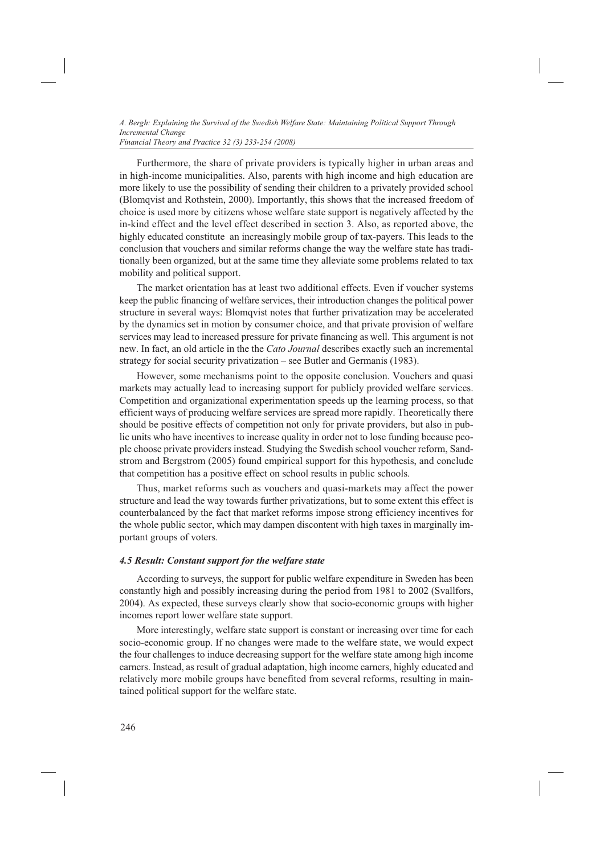Furthermore, the share of private providers is typically higher in urban areas and in high-income municipalities. Also, parents with high income and high education are more likely to use the possibility of sending their children to a privately provided school (Blomqvist and Rothstein, 2000). Importantly, this shows that the increased freedom of choice is used more by citizens whose welfare state support is negatively affected by the in-kind effect and the level effect described in section 3. Also, as reported above, the highly educated constitute an increasingly mobile group of tax-payers. This leads to the conclusion that vouchers and similar reforms change the way the welfare state has traditionally been organized, but at the same time they alleviate some problems related to tax mobility and political support.

The market orientation has at least two additional effects. Even if voucher systems keep the public financing of welfare services, their introduction changes the political power structure in several ways: Blomqvist notes that further privatization may be accelerated by the dynamics set in motion by consumer choice, and that private provision of welfare services may lead to increased pressure for private financing as well. This argument is not new. In fact, an old article in the the *Cato Journal* describes exactly such an incremental strategy for social security privatization – see Butler and Germanis (1983).

However, some mechanisms point to the opposite conclusion. Vouchers and quasi markets may actually lead to increasing support for publicly provided welfare services. Competition and organizational experimentation speeds up the learning process, so that efficient ways of producing welfare services are spread more rapidly. Theoretically there should be positive effects of competition not only for private providers, but also in public units who have incentives to increase quality in order not to lose funding because people choose private providers instead. Studying the Swedish school voucher reform, Sandstrom and Bergstrom (2005) found empirical support for this hypothesis, and conclude that competition has a positive effect on school results in public schools.

Thus, market reforms such as vouchers and quasi-markets may affect the power structure and lead the way towards further privatizations, but to some extent this effect is counterbalanced by the fact that market reforms impose strong efficiency incentives for the whole public sector, which may dampen discontent with high taxes in marginally important groups of voters.

# *4.5 Result: Constant support for the welfare state*

According to surveys, the support for public welfare expenditure in Sweden has been constantly high and possibly increasing during the period from 1981 to 2002 (Svallfors, 2004). As expected, these surveys clearly show that socio-economic groups with higher incomes report lower welfare state support.

More interestingly, welfare state support is constant or increasing over time for each socio-economic group. If no changes were made to the welfare state, we would expect the four challenges to induce decreasing support for the welfare state among high income earners. Instead, as result of gradual adaptation, high income earners, highly educated and relatively more mobile groups have benefited from several reforms, resulting in maintained political support for the welfare state.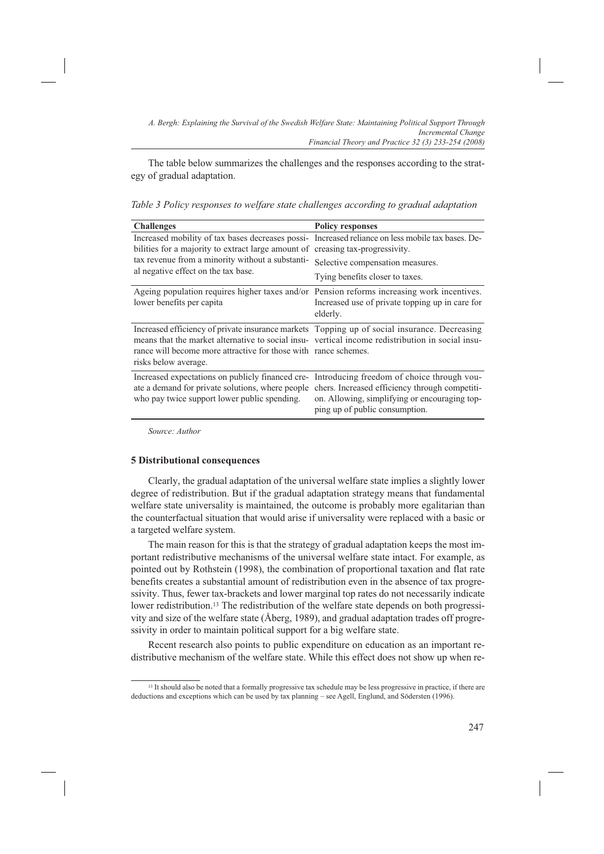The table below summarizes the challenges and the responses according to the strategy of gradual adaptation.

*Table 3 Policy responses to welfare state challenges according to gradual adaptation*

| <b>Challenges</b>                                                                                                                                                                                                                                                                           | <b>Policy responses</b>                                                         |
|---------------------------------------------------------------------------------------------------------------------------------------------------------------------------------------------------------------------------------------------------------------------------------------------|---------------------------------------------------------------------------------|
| Increased mobility of tax bases decreases possi- Increased reliance on less mobile tax bases. De-<br>bilities for a majority to extract large amount of creasing tax-progressivity.<br>tax revenue from a minority without a substanti-<br>al negative effect on the tax base.              | Selective compensation measures.<br>Tying benefits closer to taxes.             |
| Ageing population requires higher taxes and/or Pension reforms increasing work incentives.<br>lower benefits per capita                                                                                                                                                                     | Increased use of private topping up in care for<br>elderly.                     |
| Increased efficiency of private insurance markets Topping up of social insurance. Decreasing<br>means that the market alternative to social insu- vertical income redistribution in social insu-<br>rance will become more attractive for those with rance schemes.<br>risks below average. |                                                                                 |
| Increased expectations on publicly financed cre- Introducing freedom of choice through vou-<br>ate a demand for private solutions, where people chers. Increased efficiency through competiti-<br>who pay twice support lower public spending.                                              | on. Allowing, simplifying or encouraging top-<br>ping up of public consumption. |

*Source: Author*

## **5 Distributional consequences**

Clearly, the gradual adaptation of the universal welfare state implies a slightly lower degree of redistribution. But if the gradual adaptation strategy means that fundamental welfare state universality is maintained, the outcome is probably more egalitarian than the counterfactual situation that would arise if universality were replaced with a basic or a targeted welfare system.

The main reason for this is that the strategy of gradual adaptation keeps the most important redistributive mechanisms of the universal welfare state intact. For example, as pointed out by Rothstein (1998), the combination of proportional taxation and flat rate benefits creates a substantial amount of redistribution even in the absence of tax progressivity. Thus, fewer tax-brackets and lower marginal top rates do not necessarily indicate lower redistribution.13 The redistribution of the welfare state depends on both progressivity and size of the welfare state (Åberg, 1989), and gradual adaptation trades off progressivity in order to maintain political support for a big welfare state.

Recent research also points to public expenditure on education as an important redistributive mechanism of the welfare state. While this effect does not show up when re-

<sup>&</sup>lt;sup>13</sup> It should also be noted that a formally progressive tax schedule may be less progressive in practice, if there are deductions and exceptions which can be used by tax planning – see Agell, Englund, and Södersten (1996).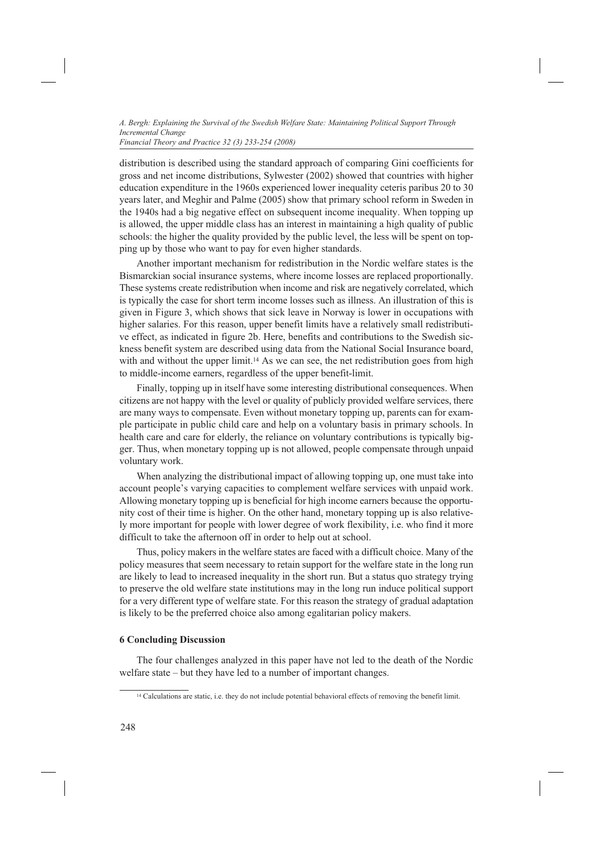*Financial Theory and Practice 32 (3) 233-254 (2008)*

distribution is described using the standard approach of comparing Gini coefficients for gross and net income distributions, Sylwester (2002) showed that countries with higher education expenditure in the 1960s experienced lower inequality ceteris paribus 20 to 30 years later, and Meghir and Palme (2005) show that primary school reform in Sweden in the 1940s had a big negative effect on subsequent income inequality. When topping up is allowed, the upper middle class has an interest in maintaining a high quality of public schools: the higher the quality provided by the public level, the less will be spent on topping up by those who want to pay for even higher standards.

Another important mechanism for redistribution in the Nordic welfare states is the Bismarckian social insurance systems, where income losses are replaced proportionally. These systems create redistribution when income and risk are negatively correlated, which is typically the case for short term income losses such as illness. An illustration of this is given in Figure 3, which shows that sick leave in Norway is lower in occupations with higher salaries. For this reason, upper benefit limits have a relatively small redistributive effect, as indicated in figure 2b. Here, benefits and contributions to the Swedish sickness benefit system are described using data from the National Social Insurance board, with and without the upper limit.<sup>14</sup> As we can see, the net redistribution goes from high to middle-income earners, regardless of the upper benefit-limit.

Finally, topping up in itself have some interesting distributional consequences. When citizens are not happy with the level or quality of publicly provided welfare services, there are many ways to compensate. Even without monetary topping up, parents can for example participate in public child care and help on a voluntary basis in primary schools. In health care and care for elderly, the reliance on voluntary contributions is typically bigger. Thus, when monetary topping up is not allowed, people compensate through unpaid voluntary work.

When analyzing the distributional impact of allowing topping up, one must take into account people's varying capacities to complement welfare services with unpaid work. Allowing monetary topping up is beneficial for high income earners because the opportunity cost of their time is higher. On the other hand, monetary topping up is also relatively more important for people with lower degree of work flexibility, i.e. who find it more difficult to take the afternoon off in order to help out at school.

Thus, policy makers in the welfare states are faced with a difficult choice. Many of the policy measures that seem necessary to retain support for the welfare state in the long run are likely to lead to increased inequality in the short run. But a status quo strategy trying to preserve the old welfare state institutions may in the long run induce political support for a very different type of welfare state. For this reason the strategy of gradual adaptation is likely to be the preferred choice also among egalitarian policy makers.

# **6 Concluding Discussion**

The four challenges analyzed in this paper have not led to the death of the Nordic welfare state – but they have led to a number of important changes.

<sup>&</sup>lt;sup>14</sup> Calculations are static, i.e. they do not include potential behavioral effects of removing the benefit limit.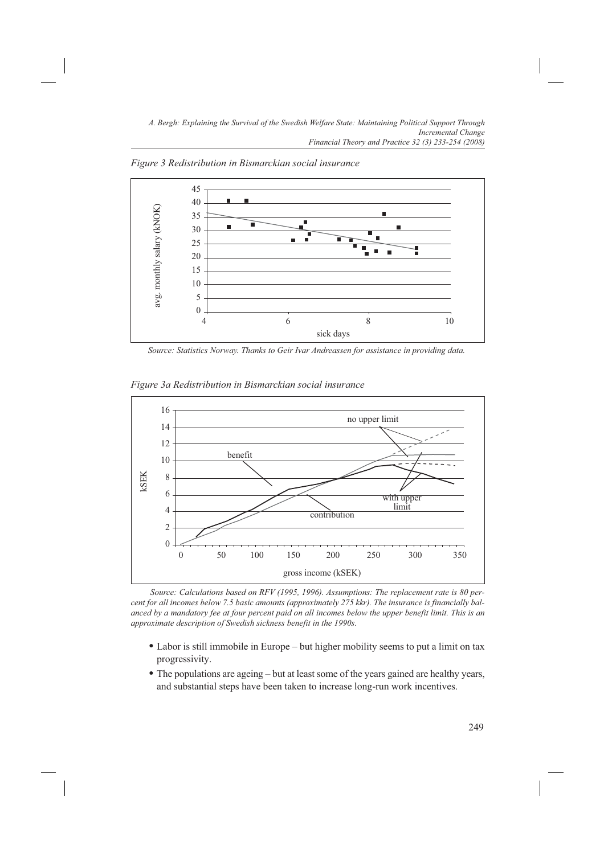

*Figure 3 Redistribution in Bismarckian social insurance*

*Source: Statistics Norway. Thanks to Geir Ivar Andreassen for assistance in providing data.*



*Figure 3a Redistribution in Bismarckian social insurance*

 *Source: Calculations based on RFV (1995, 1996). Assumptions: The replacement rate is 80 percent for all incomes below 7.5 basic amounts (approximately 275 kkr). The insurance is financially balanced by a mandatory fee at four percent paid on all incomes below the upper benefit limit. This is an approximate description of Swedish sickness benefit in the 1990s.*

- Labor is still immobile in Europe but higher mobility seems to put a limit on tax progressivity.
- The populations are ageing but at least some of the years gained are healthy years, and substantial steps have been taken to increase long-run work incentives.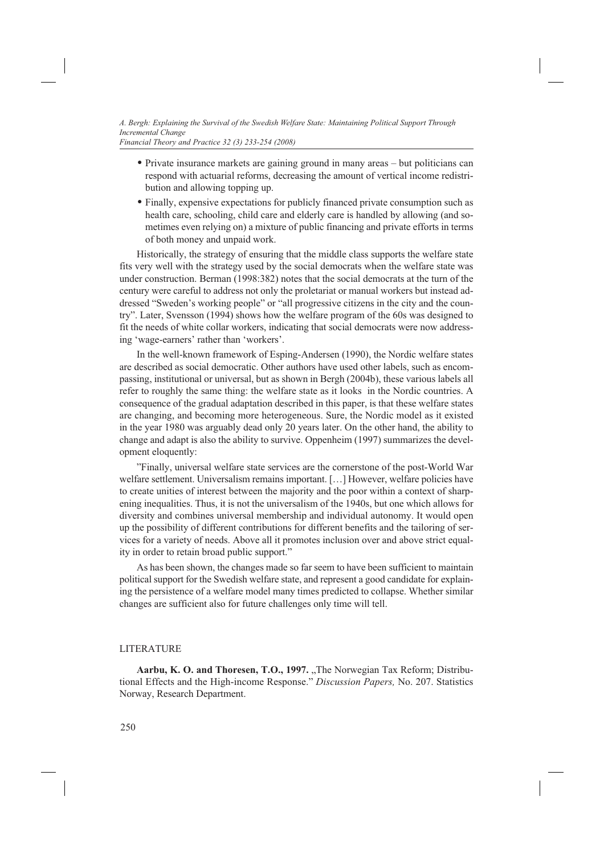- Private insurance markets are gaining ground in many areas but politicians can respond with actuarial reforms, decreasing the amount of vertical income redistribution and allowing topping up.
- Finally, expensive expectations for publicly financed private consumption such as health care, schooling, child care and elderly care is handled by allowing (and sometimes even relying on) a mixture of public financing and private efforts in terms of both money and unpaid work.

Historically, the strategy of ensuring that the middle class supports the welfare state fits very well with the strategy used by the social democrats when the welfare state was under construction. Berman (1998:382) notes that the social democrats at the turn of the century were careful to address not only the proletariat or manual workers but instead addressed "Sweden's working people" or "all progressive citizens in the city and the country". Later, Svensson (1994) shows how the welfare program of the 60s was designed to fit the needs of white collar workers, indicating that social democrats were now addressing 'wage-earners' rather than 'workers'.

In the well-known framework of Esping-Andersen (1990), the Nordic welfare states are described as social democratic. Other authors have used other labels, such as encompassing, institutional or universal, but as shown in Bergh (2004b), these various labels all refer to roughly the same thing: the welfare state as it looks in the Nordic countries. A consequence of the gradual adaptation described in this paper, is that these welfare states are changing, and becoming more heterogeneous. Sure, the Nordic model as it existed in the year 1980 was arguably dead only 20 years later. On the other hand, the ability to change and adapt is also the ability to survive. Oppenheim (1997) summarizes the development eloquently:

"Finally, universal welfare state services are the cornerstone of the post-World War welfare settlement. Universalism remains important. […] However, welfare policies have to create unities of interest between the majority and the poor within a context of sharpening inequalities. Thus, it is not the universalism of the 1940s, but one which allows for diversity and combines universal membership and individual autonomy. It would open up the possibility of different contributions for different benefits and the tailoring of services for a variety of needs. Above all it promotes inclusion over and above strict equality in order to retain broad public support."

As has been shown, the changes made so far seem to have been sufficient to maintain political support for the Swedish welfare state, and represent a good candidate for explaining the persistence of a welfare model many times predicted to collapse. Whether similar changes are sufficient also for future challenges only time will tell.

# LITERATURE

Aarbu, K. O. and Thoresen, T.O., 1997. "The Norwegian Tax Reform; Distributional Effects and the High-income Response." *Discussion Papers,* No. 207. Statistics Norway, Research Department.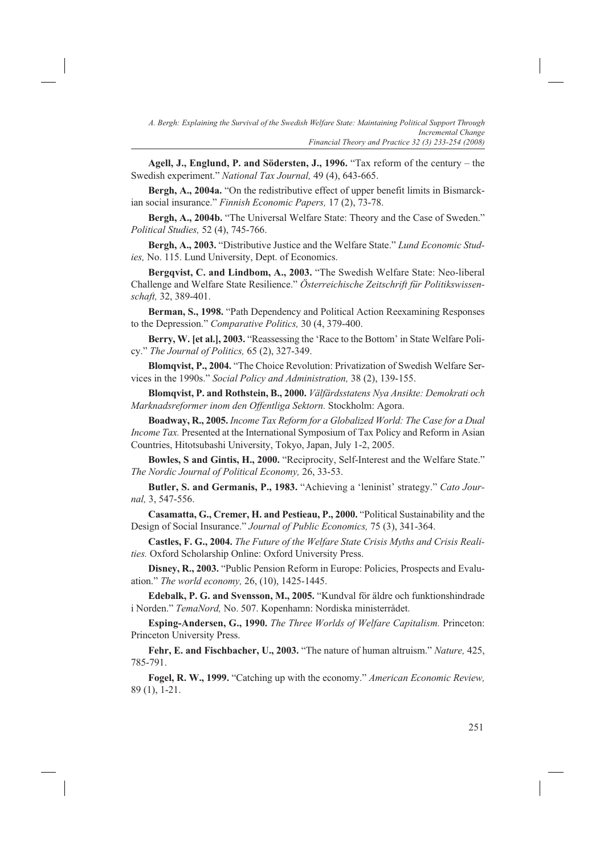**Agell, J., Englund, P. and Södersten, J., 1996.** "Tax reform of the century – the Swedish experiment." *National Tax Journal,* 49 (4), 643-665.

**Bergh, A., 2004a.** "On the redistributive effect of upper benefit limits in Bismarckian social insurance." *Finnish Economic Papers,* 17 (2), 73-78.

**Bergh, A., 2004b.** "The Universal Welfare State: Theory and the Case of Sweden." *Political Studies,* 52 (4), 745-766.

**Bergh, A., 2003.** "Distributive Justice and the Welfare State." *Lund Economic Studies,* No. 115. Lund University, Dept. of Economics.

**Bergqvist, C. and Lindbom, A., 2003.** "The Swedish Welfare State: Neo-liberal Challenge and Welfare State Resilience." *Österreichische Zeitschrift für Politikswissenschaft,* 32, 389-401.

**Berman, S., 1998.** "Path Dependency and Political Action Reexamining Responses to the Depression." *Comparative Politics,* 30 (4, 379-400.

**Berry, W. [et al.], 2003.** "Reassessing the 'Race to the Bottom' in State Welfare Policy." *The Journal of Politics,* 65 (2), 327-349.

**Blomqvist, P., 2004.** "The Choice Revolution: Privatization of Swedish Welfare Services in the 1990s." *Social Policy and Administration,* 38 (2), 139-155.

**Blomqvist, P. and Rothstein, B., 2000.** *Välfärdsstatens Nya Ansikte: Demokrati och Marknadsreformer inom den Offentliga Sektorn.* Stockholm: Agora.

**Boadway, R., 2005.** *Income Tax Reform for a Globalized World: The Case for a Dual Income Tax.* Presented at the International Symposium of Tax Policy and Reform in Asian Countries, Hitotsubashi University, Tokyo, Japan, July 1-2, 2005.

**Bowles, S and Gintis, H., 2000.** "Reciprocity, Self-Interest and the Welfare State." *The Nordic Journal of Political Economy,* 26, 33-53.

**Butler, S. and Germanis, P., 1983.** "Achieving a 'leninist' strategy." *Cato Journal,* 3, 547-556.

**Casamatta, G., Cremer, H. and Pestieau, P., 2000.** "Political Sustainability and the Design of Social Insurance." *Journal of Public Economics,* 75 (3), 341-364.

**Castles, F. G., 2004.** *The Future of the Welfare State Crisis Myths and Crisis Realities.* Oxford Scholarship Online: Oxford University Press.

**Disney, R., 2003.** "Public Pension Reform in Europe: Policies, Prospects and Evaluation." *The world economy,* 26, (10), 1425-1445.

**Edebalk, P. G. and Svensson, M., 2005.** "Kundval för äldre och funktionshindrade i Norden." *TemaNord,* No. 507. Kopenhamn: Nordiska ministerrådet.

**Esping-Andersen, G., 1990.** *The Three Worlds of Welfare Capitalism.* Princeton: Princeton University Press.

**Fehr, E. and Fischbacher, U., 2003.** "The nature of human altruism." *Nature,* 425, 785-791.

**Fogel, R. W., 1999.** "Catching up with the economy." *American Economic Review,*  89 (1), 1-21.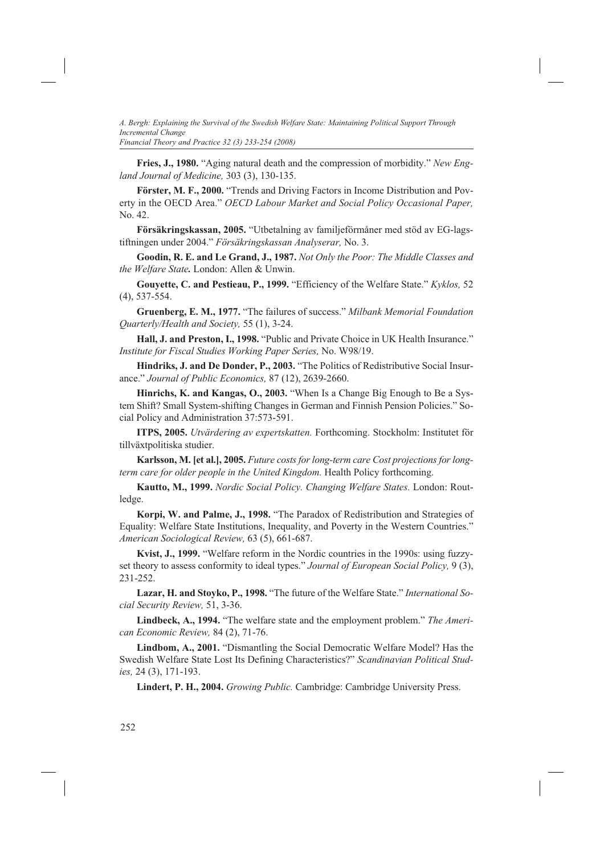*Financial Theory and Practice 32 (3) 233-254 (2008)*

**Fries, J., 1980.** "Aging natural death and the compression of morbidity." *New England Journal of Medicine,* 303 (3), 130-135.

**Förster, M. F., 2000.** "Trends and Driving Factors in Income Distribution and Poverty in the OECD Area." *OECD Labour Market and Social Policy Occasional Paper,* No. 42.

**Försäkringskassan, 2005.** "Utbetalning av familjeförmåner med stöd av EG-lagstiftningen under 2004." *Försäkringskassan Analyserar,* No. 3.

**Goodin, R. E. and Le Grand, J., 1987.** *Not Only the Poor: The Middle Classes and the Welfare State.* London: Allen & Unwin.

**Gouyette, C. and Pestieau, P., 1999.** "Efficiency of the Welfare State." *Kyklos,* 52 (4), 537-554.

**Gruenberg, E. M., 1977.** "The failures of success." *Milbank Memorial Foundation Quarterly/Health and Society,* 55 (1), 3-24.

**Hall, J. and Preston, I., 1998.** "Public and Private Choice in UK Health Insurance." *Institute for Fiscal Studies Working Paper Series,* No. W98/19.

**Hindriks, J. and De Donder, P., 2003.** "The Politics of Redistributive Social Insurance." *Journal of Public Economics,* 87 (12), 2639-2660.

**Hinrichs, K. and Kangas, O., 2003.** "When Is a Change Big Enough to Be a System Shift? Small System-shifting Changes in German and Finnish Pension Policies." Social Policy and Administration 37:573-591.

**ITPS, 2005.** *Utvärdering av expertskatten.* Forthcoming. Stockholm: Institutet för tillväxtpolitiska studier.

**Karlsson, M. [et al.], 2005.** *Future costs for long-term care Cost projections for longterm care for older people in the United Kingdom.* Health Policy forthcoming.

**Kautto, M., 1999.** *Nordic Social Policy. Changing Welfare States.* London: Routledge.

**Korpi, W. and Palme, J., 1998.** "The Paradox of Redistribution and Strategies of Equality: Welfare State Institutions, Inequality, and Poverty in the Western Countries." *American Sociological Review,* 63 (5), 661-687.

**Kvist, J., 1999.** "Welfare reform in the Nordic countries in the 1990s: using fuzzyset theory to assess conformity to ideal types." *Journal of European Social Policy,* 9 (3), 231-252.

**Lazar, H. and Stoyko, P., 1998.** "The future of the Welfare State." *International Social Security Review,* 51, 3-36.

**Lindbeck, A., 1994.** "The welfare state and the employment problem." *The American Economic Review,* 84 (2), 71-76.

**Lindbom, A., 2001.** "Dismantling the Social Democratic Welfare Model? Has the Swedish Welfare State Lost Its Defining Characteristics?" *Scandinavian Political Studies,* 24 (3), 171-193.

**Lindert, P. H., 2004.** *Growing Public.* Cambridge: Cambridge University Press.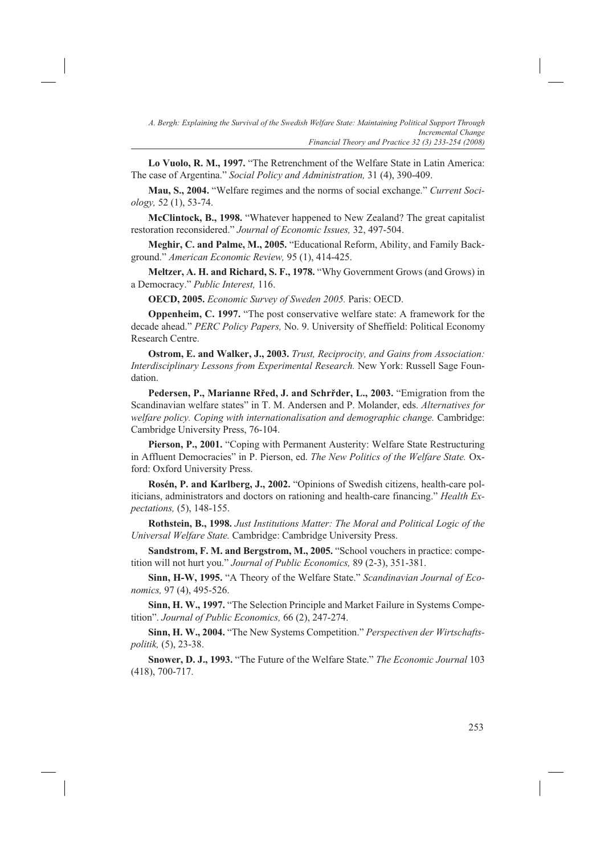**Lo Vuolo, R. M., 1997.** "The Retrenchment of the Welfare State in Latin America: The case of Argentina." *Social Policy and Administration,* 31 (4), 390-409.

**Mau, S., 2004.** "Welfare regimes and the norms of social exchange." *Current Sociology,* 52 (1), 53-74.

**McClintock, B., 1998.** "Whatever happened to New Zealand? The great capitalist restoration reconsidered." *Journal of Economic Issues,* 32, 497-504.

**Meghir, C. and Palme, M., 2005.** "Educational Reform, Ability, and Family Background." *American Economic Review,* 95 (1), 414-425.

**Meltzer, A. H. and Richard, S. F., 1978.** "Why Government Grows (and Grows) in a Democracy." *Public Interest,* 116.

**OECD, 2005.** *Economic Survey of Sweden 2005.* Paris: OECD.

**Oppenheim, C. 1997.** "The post conservative welfare state: A framework for the decade ahead." *PERC Policy Papers,* No. 9. University of Sheffield: Political Economy Research Centre.

**Ostrom, E. and Walker, J., 2003.** *Trust, Reciprocity, and Gains from Association: Interdisciplinary Lessons from Experimental Research.* New York: Russell Sage Foundation.

**Pedersen, P., Marianne Rřed, J. and Schrřder, L., 2003.** "Emigration from the Scandinavian welfare states" in T. M. Andersen and P. Molander, eds. *Alternatives for welfare policy. Coping with internationalisation and demographic change.* Cambridge: Cambridge University Press, 76-104.

**Pierson, P., 2001.** "Coping with Permanent Austerity: Welfare State Restructuring in Affluent Democracies" in P. Pierson, ed. *The New Politics of the Welfare State.* Oxford: Oxford University Press.

**Rosén, P. and Karlberg, J., 2002.** "Opinions of Swedish citizens, health-care politicians, administrators and doctors on rationing and health-care financing." *Health Expectations,* (5), 148-155.

**Rothstein, B., 1998.** *Just Institutions Matter: The Moral and Political Logic of the Universal Welfare State.* Cambridge: Cambridge University Press.

**Sandstrom, F. M. and Bergstrom, M., 2005.** "School vouchers in practice: competition will not hurt you." *Journal of Public Economics,* 89 (2-3), 351-381.

**Sinn, H-W, 1995.** "A Theory of the Welfare State." *Scandinavian Journal of Economics,* 97 (4), 495-526.

**Sinn, H. W., 1997.** "The Selection Principle and Market Failure in Systems Competition". *Journal of Public Economics,* 66 (2), 247-274.

**Sinn, H. W., 2004.** "The New Systems Competition." *Perspectiven der Wirtschaftspolitik,* (5), 23-38.

**Snower, D. J., 1993.** "The Future of the Welfare State." *The Economic Journal* 103 (418), 700-717.